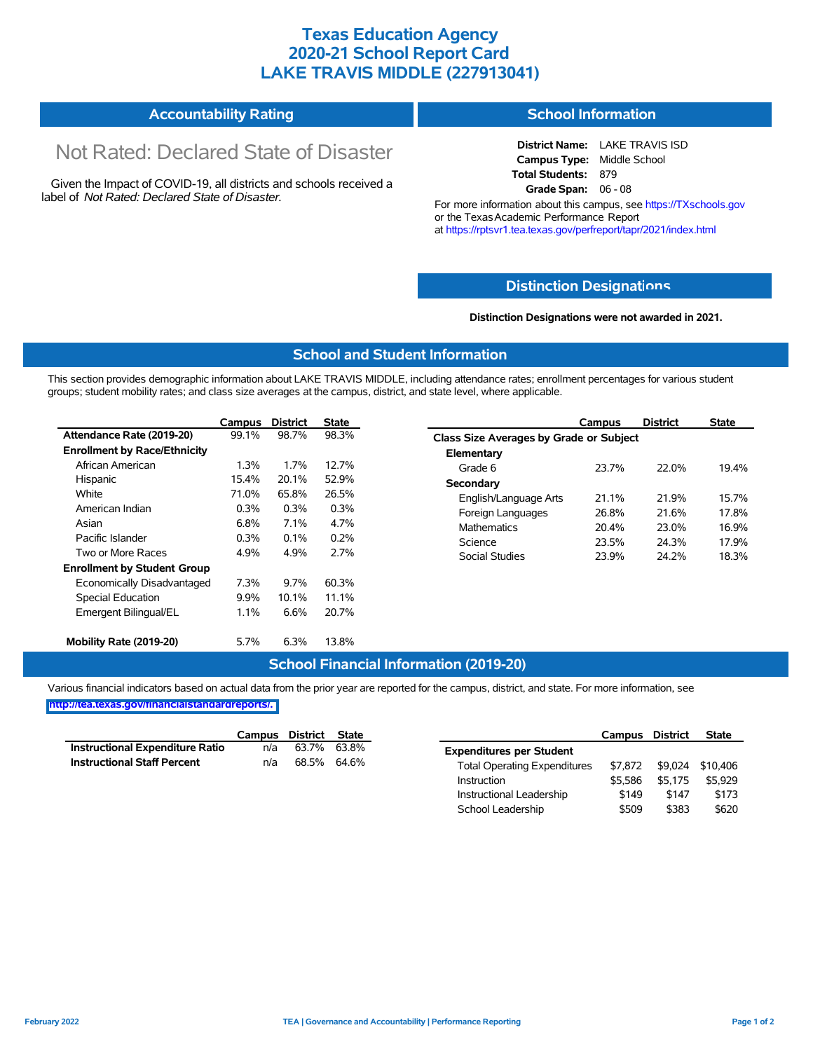# **Texas Education Agency 2020-21 School Report Card LAKE TRAVIS MIDDLE (227913041)**

#### **Accountability Rating School Information**

# Not Rated: Declared State of Disaster

Given the Impact of COVID-19, all districts and schools received a label of *Not Rated: Declared State of Disaster.*

**District Name:** LAKE TRAVIS ISD **Campus Type:** Middle School **Total Students:** 879 **Grade Span:** 06 - 08

For more information about this campus, see https://TXschools.gov or the Texas Academic Performance Report at https://rptsvr1.tea.texas.gov/perfreport/tapr/2021/index.html

### **Distinction Designat[ions](https://TXschools.gov)**

**Distinction Designations were not awarded in 2021.**

School Leadership  $$509$  \$383 \$620

#### **School and Student Information**

This section provides demographic information about LAKE TRAVIS MIDDLE, including attendance rates; enrollment percentages for various student groups; student mobility rates; and class size averages at the campus, district, and state level, where applicable.

|                                     | Campus                                     | <b>District</b>   | <b>State</b> |                       | Campus                                  | <b>District</b> | <b>State</b> |  |  |  |  |
|-------------------------------------|--------------------------------------------|-------------------|--------------|-----------------------|-----------------------------------------|-----------------|--------------|--|--|--|--|
| Attendance Rate (2019-20)           | 99.1%                                      | 98.7%             | 98.3%        |                       | Class Size Averages by Grade or Subject |                 |              |  |  |  |  |
| <b>Enrollment by Race/Ethnicity</b> |                                            |                   |              | Elementary            |                                         |                 |              |  |  |  |  |
| African American                    | 1.3%                                       | 1.7%              | 12.7%        | Grade 6               | 23.7%                                   | 22.0%           | 19.4%        |  |  |  |  |
| Hispanic                            | 15.4%                                      | 20.1%             | 52.9%        | Secondary             |                                         |                 |              |  |  |  |  |
| White                               | 71.0%                                      | 65.8%             | 26.5%        | English/Language Arts | 21.1%                                   | 21.9%           | 15.7%        |  |  |  |  |
| American Indian                     | 0.3%<br>0.3%<br>0.3%                       | Foreign Languages | 26.8%        | 21.6%                 | 17.8%                                   |                 |              |  |  |  |  |
| Asian                               | 6.8%<br>7.1%<br>4.7%<br><b>Mathematics</b> |                   |              |                       | 20.4%                                   | 23.0%           | 16.9%        |  |  |  |  |
| Pacific Islander                    | 0.3%                                       | 0.1%              | 0.2%         | Science               | 23.5%                                   | 24.3%           | 17.9%        |  |  |  |  |
| Two or More Races                   | 4.9%                                       | 4.9%              | 2.7%         | Social Studies        | 23.9%                                   | 24.2%           | 18.3%        |  |  |  |  |
| <b>Enrollment by Student Group</b>  |                                            |                   |              |                       |                                         |                 |              |  |  |  |  |
| Economically Disadvantaged          | 7.3%                                       | 9.7%              | 60.3%        |                       |                                         |                 |              |  |  |  |  |
| Special Education                   | 9.9%                                       | 10.1%             | 11.1%        |                       |                                         |                 |              |  |  |  |  |
| Emergent Bilingual/EL               | 1.1%                                       | 6.6%              | 20.7%        |                       |                                         |                 |              |  |  |  |  |
| Mobility Rate (2019-20)             | 5.7%                                       | 6.3%              | 13.8%        |                       |                                         |                 |              |  |  |  |  |

#### **School Financial Information (2019-20)**

Various financial indicators based on actual data from the prior year are reported for the campus, district, and state. For more information, see

**[http://tea.texas.gov/financialstandardreports/.](http://tea.texas.gov/financialstandardreports/)**

|                                    | Campus | District State |             |                                     | Campus  | <b>District</b> | <b>State</b>     |
|------------------------------------|--------|----------------|-------------|-------------------------------------|---------|-----------------|------------------|
| Instructional Expenditure Ratio    | n/a    | 63.7%          | 63.8%       | <b>Expenditures per Student</b>     |         |                 |                  |
| <b>Instructional Staff Percent</b> | n/a    |                | 68.5% 64.6% | <b>Total Operating Expenditures</b> | \$7.872 |                 | \$9.024 \$10.406 |
|                                    |        |                |             | Instruction                         | \$5.586 | \$5.175         | \$5.929          |
|                                    |        |                |             | Instructional Leadership            | \$149   | \$147           | \$173            |